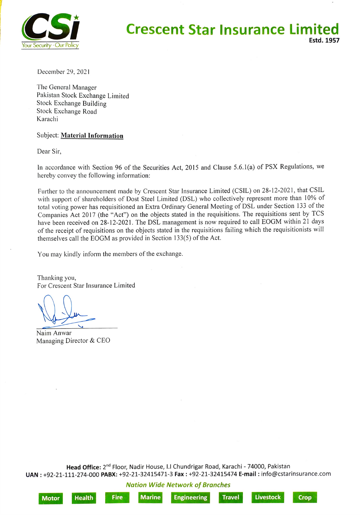

## **Crescent Star Insurance Limited** Estd. 1957

December 29, 2021

The General Manager Pakistan Stock Exchange Limited Stock Exchange Building Stock Exchange Road Karachi

## Subject: Material Information

Dear Sir,

In accordance with Section 96 of the Securities Act, 2015 and Clause 5.6.1(a) of PSX Regulations, we hereby convey the following information:

Further to the announcement made by Crescent Star Insurance Limited (CSIL) on 28-12-2021, that CSIL with support of shareholders of Dost Steel Limited (DSL) who collectively represent more than 10% of total voting power has requisitioned an Extra Ordinary General Meeting of DSL under Section 133 of the Companies Act 2017 (the "Act") on the objects stated in the requisitions. The requisitions sent by TCS have been received on 28-12-2021. The DSL management is now required to call EOGM within 21 days of the receipt of requisitions on the objects stated in the requisitions failing which the requisitionists will themselves call the EOGM as provided in Section 133(5) of the Act.

You may kindly inform the members of the exchange.

Thanking you, For Crescent Star Insurance Limited

Naim Anwar Managing Director & CEO

Head Office: 2<sup>nd</sup> Floor, Nadir House, I.I Chundrigar Road, Karachi - 74000, Pakistan UAN: +92-21-111-274-000 PABX: +92-21-32415471-3 Fax: +92-21-32415474 E-mail : info@cstarinsurance.com

Nation Wide Network of Branches